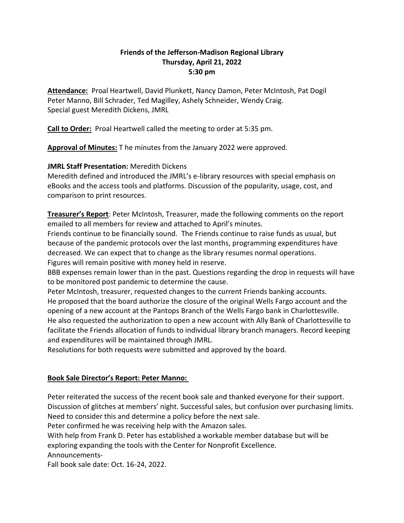#### **Friends of the Jefferson-Madison Regional Library Thursday, April 21, 2022 5:30 pm**

**Attendance:** Proal Heartwell, David Plunkett, Nancy Damon, Peter McIntosh, Pat Dogil Peter Manno, Bill Schrader, Ted Magilley, Ashely Schneider, Wendy Craig. Special guest Meredith Dickens, JMRL

**Call to Order:** Proal Heartwell called the meeting to order at 5:35 pm.

**Approval of Minutes:** T he minutes from the January 2022 were approved.

# **JMRL Staff Presentation:** Meredith Dickens

Meredith defined and introduced the JMRL's e-library resources with special emphasis on eBooks and the access tools and platforms. Discussion of the popularity, usage, cost, and comparison to print resources.

**Treasurer's Report**: Peter McIntosh, Treasurer, made the following comments on the report emailed to all members for review and attached to April's minutes.

Friends continue to be financially sound. The Friends continue to raise funds as usual, but because of the pandemic protocols over the last months, programming expenditures have decreased. We can expect that to change as the library resumes normal operations. Figures will remain positive with money held in reserve.

BBB expenses remain lower than in the past. Questions regarding the drop in requests will have to be monitored post pandemic to determine the cause.

Peter McIntosh, treasurer, requested changes to the current Friends banking accounts. He proposed that the board authorize the closure of the original Wells Fargo account and the opening of a new account at the Pantops Branch of the Wells Fargo bank in Charlottesville. He also requested the authorization to open a new account with Ally Bank of Charlottesville to facilitate the Friends allocation of funds to individual library branch managers. Record keeping and expenditures will be maintained through JMRL.

Resolutions for both requests were submitted and approved by the board.

## **Book Sale Director's Report: Peter Manno:**

Peter reiterated the success of the recent book sale and thanked everyone for their support. Discussion of glitches at members' night. Successful sales, but confusion over purchasing limits. Need to consider this and determine a policy before the next sale.

Peter confirmed he was receiving help with the Amazon sales.

With help from Frank D. Peter has established a workable member database but will be exploring expanding the tools with the Center for Nonprofit Excellence. Announcements-

Fall book sale date: Oct. 16-24, 2022.